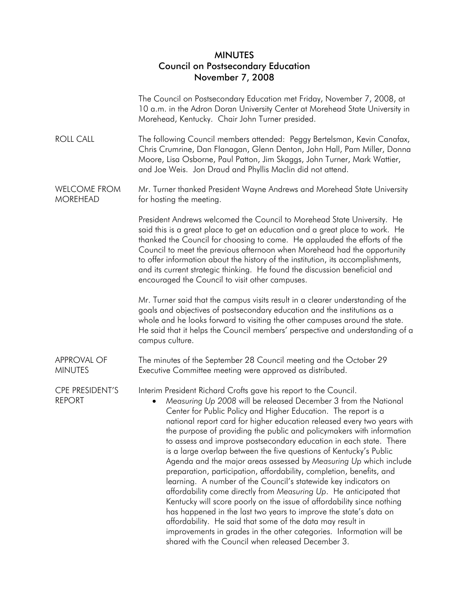## MINUTES Council on Postsecondary Education November 7, 2008

 The Council on Postsecondary Education met Friday, November 7, 2008, at 10 a.m. in the Adron Doran University Center at Morehead State University in Morehead, Kentucky. Chair John Turner presided.

- ROLL CALL The following Council members attended: Peggy Bertelsman, Kevin Canafax, Chris Crumrine, Dan Flanagan, Glenn Denton, John Hall, Pam Miller, Donna Moore, Lisa Osborne, Paul Patton, Jim Skaggs, John Turner, Mark Wattier, and Joe Weis. Jon Draud and Phyllis Maclin did not attend.
- WELCOME FROM MOREHEAD Mr. Turner thanked President Wayne Andrews and Morehead State University for hosting the meeting.

 President Andrews welcomed the Council to Morehead State University. He said this is a great place to get an education and a great place to work. He thanked the Council for choosing to come. He applauded the efforts of the Council to meet the previous afternoon when Morehead had the opportunity to offer information about the history of the institution, its accomplishments, and its current strategic thinking. He found the discussion beneficial and encouraged the Council to visit other campuses.

 Mr. Turner said that the campus visits result in a clearer understanding of the goals and objectives of postsecondary education and the institutions as a whole and he looks forward to visiting the other campuses around the state. He said that it helps the Council members' perspective and understanding of a campus culture.

APPROVAL OF MINUTES The minutes of the September 28 Council meeting and the October 29 Executive Committee meeting were approved as distributed.

CPE PRESIDENT'S Interim President Richard Crofts gave his report to the Council.

REPORT • *Measuring Up 2008* will be released December 3 from the National Center for Public Policy and Higher Education. The report is a national report card for higher education released every two years with the purpose of providing the public and policymakers with information to assess and improve postsecondary education in each state. There is a large overlap between the five questions of Kentucky's Public Agenda and the major areas assessed by *Measuring Up* which include preparation, participation, affordability, completion, benefits, and learning. A number of the Council's statewide key indicators on affordability come directly from *Measuring Up*. He anticipated that Kentucky will score poorly on the issue of affordability since nothing has happened in the last two years to improve the state's data on affordability. He said that some of the data may result in improvements in grades in the other categories. Information will be shared with the Council when released December 3.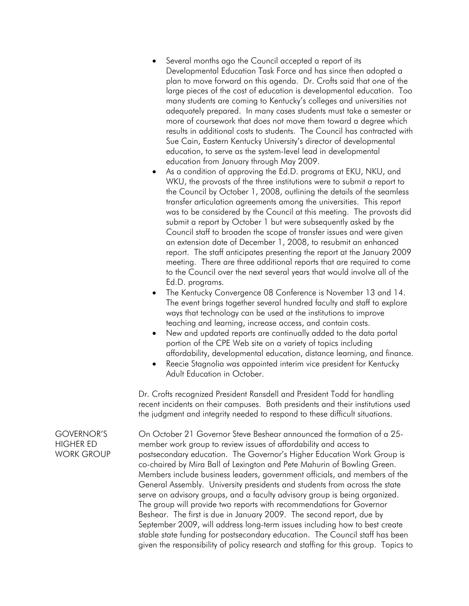- Several months ago the Council accepted a report of its Developmental Education Task Force and has since then adopted a plan to move forward on this agenda. Dr. Crofts said that one of the large pieces of the cost of education is developmental education. Too many students are coming to Kentucky's colleges and universities not adequately prepared. In many cases students must take a semester or more of coursework that does not move them toward a degree which results in additional costs to students. The Council has contracted with Sue Cain, Eastern Kentucky University's director of developmental education, to serve as the system-level lead in developmental education from January through May 2009.
- As a condition of approving the Ed.D. programs at EKU, NKU, and WKU, the provosts of the three institutions were to submit a report to the Council by October 1, 2008, outlining the details of the seamless transfer articulation agreements among the universities. This report was to be considered by the Council at this meeting. The provosts did submit a report by October 1 but were subsequently asked by the Council staff to broaden the scope of transfer issues and were given an extension date of December 1, 2008, to resubmit an enhanced report. The staff anticipates presenting the report at the January 2009 meeting. There are three additional reports that are required to come to the Council over the next several years that would involve all of the Ed.D. programs.
- The Kentucky Convergence 08 Conference is November 13 and 14. The event brings together several hundred faculty and staff to explore ways that technology can be used at the institutions to improve teaching and learning, increase access, and contain costs.
- New and updated reports are continually added to the data portal portion of the CPE Web site on a variety of topics including affordability, developmental education, distance learning, and finance.
- Reecie Stagnolia was appointed interim vice president for Kentucky Adult Education in October.

 Dr. Crofts recognized President Ransdell and President Todd for handling recent incidents on their campuses. Both presidents and their institutions used the judgment and integrity needed to respond to these difficult situations.

On October 21 Governor Steve Beshear announced the formation of a 25 member work group to review issues of affordability and access to postsecondary education. The Governor's Higher Education Work Group is co-chaired by Mira Ball of Lexington and Pete Mahurin of Bowling Green. Members include business leaders, government officials, and members of the General Assembly. University presidents and students from across the state serve on advisory groups, and a faculty advisory group is being organized. The group will provide two reports with recommendations for Governor Beshear. The first is due in January 2009. The second report, due by September 2009, will address long-term issues including how to best create stable state funding for postsecondary education. The Council staff has been given the responsibility of policy research and staffing for this group. Topics to

## GOVERNOR'S HIGHER ED WORK GROUP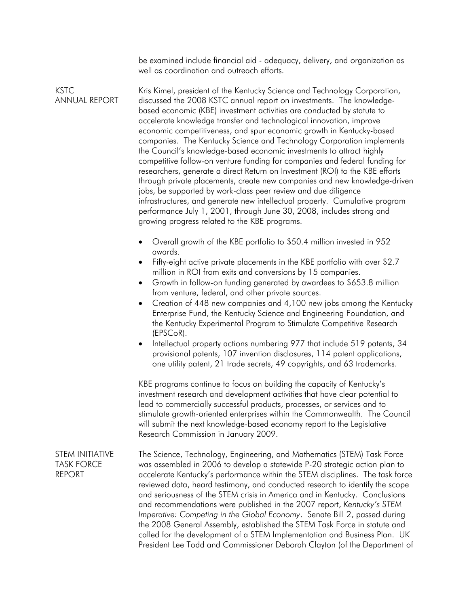be examined include financial aid - adequacy, delivery, and organization as well as coordination and outreach efforts.

KSTC ANNUAL REPORT Kris Kimel, president of the Kentucky Science and Technology Corporation, discussed the 2008 KSTC annual report on investments. The knowledgebased economic (KBE) investment activities are conducted by statute to accelerate knowledge transfer and technological innovation, improve economic competitiveness, and spur economic growth in Kentucky-based companies. The Kentucky Science and Technology Corporation implements the Council's knowledge-based economic investments to attract highly competitive follow-on venture funding for companies and federal funding for researchers, generate a direct Return on Investment (ROI) to the KBE efforts through private placements, create new companies and new knowledge-driven jobs, be supported by work-class peer review and due diligence infrastructures, and generate new intellectual property. Cumulative program performance July 1, 2001, through June 30, 2008, includes strong and growing progress related to the KBE programs.

- Overall growth of the KBE portfolio to \$50.4 million invested in 952 awards.
- Fifty-eight active private placements in the KBE portfolio with over \$2.7 million in ROI from exits and conversions by 15 companies.
- Growth in follow-on funding generated by awardees to \$653.8 million from venture, federal, and other private sources.
- Creation of 448 new companies and 4,100 new jobs among the Kentucky Enterprise Fund, the Kentucky Science and Engineering Foundation, and the Kentucky Experimental Program to Stimulate Competitive Research (EPSCoR).
- Intellectual property actions numbering 977 that include 519 patents, 34 provisional patents, 107 invention disclosures, 114 patent applications, one utility patent, 21 trade secrets, 49 copyrights, and 63 trademarks.

 KBE programs continue to focus on building the capacity of Kentucky's investment research and development activities that have clear potential to lead to commercially successful products, processes, or services and to stimulate growth-oriented enterprises within the Commonwealth. The Council will submit the next knowledge-based economy report to the Legislative Research Commission in January 2009.

STEM INITIATIVE TASK FORCE REPORT The Science, Technology, Engineering, and Mathematics (STEM) Task Force was assembled in 2006 to develop a statewide P-20 strategic action plan to accelerate Kentucky's performance within the STEM disciplines. The task force reviewed data, heard testimony, and conducted research to identify the scope and seriousness of the STEM crisis in America and in Kentucky. Conclusions and recommendations were published in the 2007 report, *Kentucky's STEM Imperative: Competing in the Global Economy*. Senate Bill 2, passed during the 2008 General Assembly, established the STEM Task Force in statute and called for the development of a STEM Implementation and Business Plan. UK President Lee Todd and Commissioner Deborah Clayton (of the Department of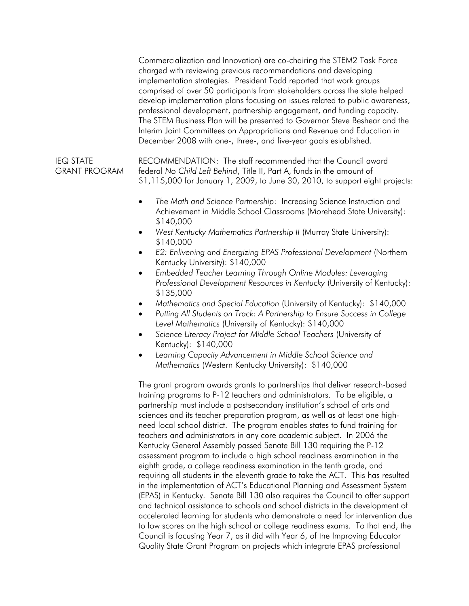Commercialization and Innovation) are co-chairing the STEM2 Task Force charged with reviewing previous recommendations and developing implementation strategies. President Todd reported that work groups comprised of over 50 participants from stakeholders across the state helped develop implementation plans focusing on issues related to public awareness, professional development, partnership engagement, and funding capacity. The STEM Business Plan will be presented to Governor Steve Beshear and the Interim Joint Committees on Appropriations and Revenue and Education in December 2008 with one-, three-, and five-year goals established.

IEQ STATE GRANT PROGRAM RECOMMENDATION: The staff recommended that the Council award federal *No Child Left Behind*, Title II, Part A, funds in the amount of \$1,115,000 for January 1, 2009, to June 30, 2010, to support eight projects:

- *The Math and Science Partnership*: Increasing Science Instruction and Achievement in Middle School Classrooms (Morehead State University): \$140,000
- *West Kentucky Mathematics Partnership II* (Murray State University): \$140,000
- *E2: Enlivening and Energizing EPAS Professional Development* (Northern Kentucky University): \$140,000
- *Embedded Teacher Learning Through Online Modules: Leveraging Professional Development Resources in Kentucky* (University of Kentucky): \$135,000
- *Mathematics and Special Education* (University of Kentucky): \$140,000
- *Putting All Students on Track: A Partnership to Ensure Success in College Level Mathematics* (University of Kentucky): \$140,000
- *Science Literacy Project for Middle School Teachers* (University of Kentucky): \$140,000
- *Learning Capacity Advancement in Middle School Science and Mathematics* (Western Kentucky University): \$140,000

 The grant program awards grants to partnerships that deliver research-based training programs to P-12 teachers and administrators. To be eligible, a partnership must include a postsecondary institution's school of arts and sciences and its teacher preparation program, as well as at least one highneed local school district. The program enables states to fund training for teachers and administrators in any core academic subject. In 2006 the Kentucky General Assembly passed Senate Bill 130 requiring the P-12 assessment program to include a high school readiness examination in the eighth grade, a college readiness examination in the tenth grade, and requiring all students in the eleventh grade to take the ACT. This has resulted in the implementation of ACT's Educational Planning and Assessment System (EPAS) in Kentucky. Senate Bill 130 also requires the Council to offer support and technical assistance to schools and school districts in the development of accelerated learning for students who demonstrate a need for intervention due to low scores on the high school or college readiness exams. To that end, the Council is focusing Year 7, as it did with Year 6, of the Improving Educator Quality State Grant Program on projects which integrate EPAS professional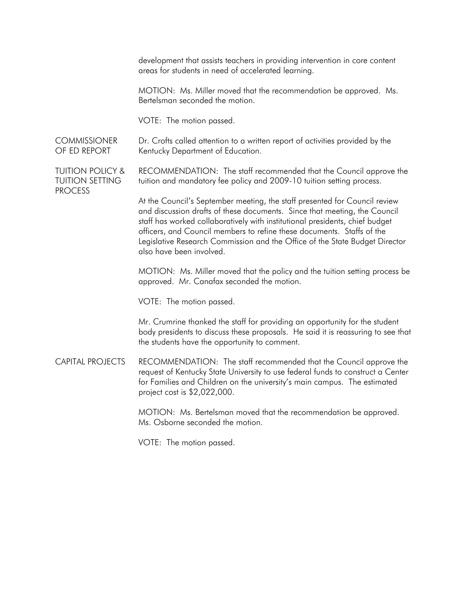development that assists teachers in providing intervention in core content areas for students in need of accelerated learning.

 MOTION: Ms. Miller moved that the recommendation be approved. Ms. Bertelsman seconded the motion.

VOTE: The motion passed.

**COMMISSIONER** OF ED REPORT Dr. Crofts called attention to a written report of activities provided by the Kentucky Department of Education.

TUITION POLICY & TUITION SETTING PROCESS RECOMMENDATION: The staff recommended that the Council approve the tuition and mandatory fee policy and 2009-10 tuition setting process.

> At the Council's September meeting, the staff presented for Council review and discussion drafts of these documents. Since that meeting, the Council staff has worked collaboratively with institutional presidents, chief budget officers, and Council members to refine these documents. Staffs of the Legislative Research Commission and the Office of the State Budget Director also have been involved.

 MOTION: Ms. Miller moved that the policy and the tuition setting process be approved. Mr. Canafax seconded the motion.

VOTE: The motion passed.

 Mr. Crumrine thanked the staff for providing an opportunity for the student body presidents to discuss these proposals. He said it is reassuring to see that the students have the opportunity to comment.

CAPITAL PROJECTS RECOMMENDATION: The staff recommended that the Council approve the request of Kentucky State University to use federal funds to construct a Center for Families and Children on the university's main campus. The estimated project cost is \$2,022,000.

> MOTION: Ms. Bertelsman moved that the recommendation be approved. Ms. Osborne seconded the motion.

VOTE: The motion passed.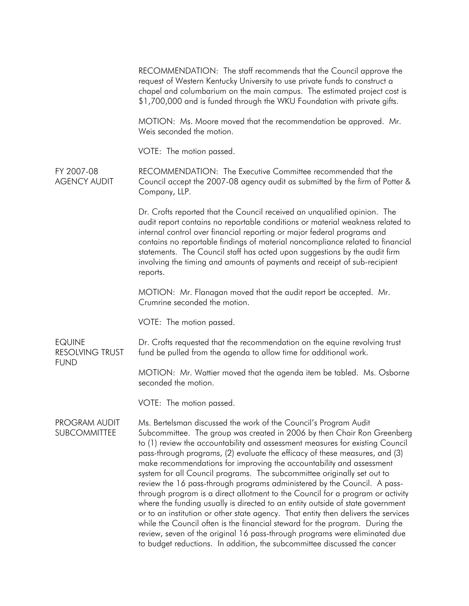RECOMMENDATION: The staff recommends that the Council approve the request of Western Kentucky University to use private funds to construct a chapel and columbarium on the main campus. The estimated project cost is \$1,700,000 and is funded through the WKU Foundation with private gifts. MOTION: Ms. Moore moved that the recommendation be approved. Mr. Weis seconded the motion. VOTE: The motion passed. FY 2007-08 AGENCY AUDIT RECOMMENDATION: The Executive Committee recommended that the Council accept the 2007-08 agency audit as submitted by the firm of Potter & Company, LLP. Dr. Crofts reported that the Council received an unqualified opinion. The audit report contains no reportable conditions or material weakness related to internal control over financial reporting or major federal programs and contains no reportable findings of material noncompliance related to financial statements. The Council staff has acted upon suggestions by the audit firm involving the timing and amounts of payments and receipt of sub-recipient reports. MOTION: Mr. Flanagan moved that the audit report be accepted. Mr. Crumrine seconded the motion. VOTE: The motion passed. EQUINE RESOLVING TRUST FUND Dr. Crofts requested that the recommendation on the equine revolving trust fund be pulled from the agenda to allow time for additional work. MOTION: Mr. Wattier moved that the agenda item be tabled. Ms. Osborne seconded the motion. VOTE: The motion passed. PROGRAM AUDIT SUBCOMMITTEE Ms. Bertelsman discussed the work of the Council's Program Audit Subcommittee. The group was created in 2006 by then Chair Ron Greenberg to (1) review the accountability and assessment measures for existing Council pass-through programs, (2) evaluate the efficacy of these measures, and (3) make recommendations for improving the accountability and assessment system for all Council programs. The subcommittee originally set out to review the 16 pass-through programs administered by the Council. A passthrough program is a direct allotment to the Council for a program or activity where the funding usually is directed to an entity outside of state government or to an institution or other state agency. That entity then delivers the services while the Council often is the financial steward for the program. During the review, seven of the original 16 pass-through programs were eliminated due to budget reductions. In addition, the subcommittee discussed the cancer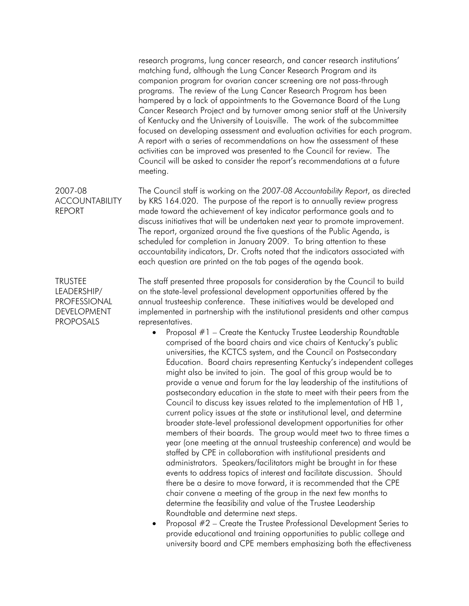research programs, lung cancer research, and cancer research institutions' matching fund, although the Lung Cancer Research Program and its companion program for ovarian cancer screening are not pass-through programs. The review of the Lung Cancer Research Program has been hampered by a lack of appointments to the Governance Board of the Lung Cancer Research Project and by turnover among senior staff at the University of Kentucky and the University of Louisville. The work of the subcommittee focused on developing assessment and evaluation activities for each program. A report with a series of recommendations on how the assessment of these activities can be improved was presented to the Council for review. The Council will be asked to consider the report's recommendations at a future meeting.

2007-08 ACCOUNTABILITY REPORT The Council staff is working on the *2007-08 Accountability Report*, as directed by KRS 164.020. The purpose of the report is to annually review progress made toward the achievement of key indicator performance goals and to discuss initiatives that will be undertaken next year to promote improvement. The report, organized around the five questions of the Public Agenda, is scheduled for completion in January 2009. To bring attention to these accountability indicators, Dr. Crofts noted that the indicators associated with each question are printed on the tab pages of the agenda book.

TRUSTEE LEADERSHIP/ PROFESSIONAL DEVELOPMENT PROPOSALS

The staff presented three proposals for consideration by the Council to build on the state-level professional development opportunities offered by the annual trusteeship conference. These initiatives would be developed and implemented in partnership with the institutional presidents and other campus representatives.

- Proposal #1 Create the Kentucky Trustee Leadership Roundtable comprised of the board chairs and vice chairs of Kentucky's public universities, the KCTCS system, and the Council on Postsecondary Education. Board chairs representing Kentucky's independent colleges might also be invited to join. The goal of this group would be to provide a venue and forum for the lay leadership of the institutions of postsecondary education in the state to meet with their peers from the Council to discuss key issues related to the implementation of HB 1, current policy issues at the state or institutional level, and determine broader state-level professional development opportunities for other members of their boards. The group would meet two to three times a year (one meeting at the annual trusteeship conference) and would be staffed by CPE in collaboration with institutional presidents and administrators. Speakers/facilitators might be brought in for these events to address topics of interest and facilitate discussion. Should there be a desire to move forward, it is recommended that the CPE chair convene a meeting of the group in the next few months to determine the feasibility and value of the Trustee Leadership Roundtable and determine next steps.
- Proposal #2 Create the Trustee Professional Development Series to provide educational and training opportunities to public college and university board and CPE members emphasizing both the effectiveness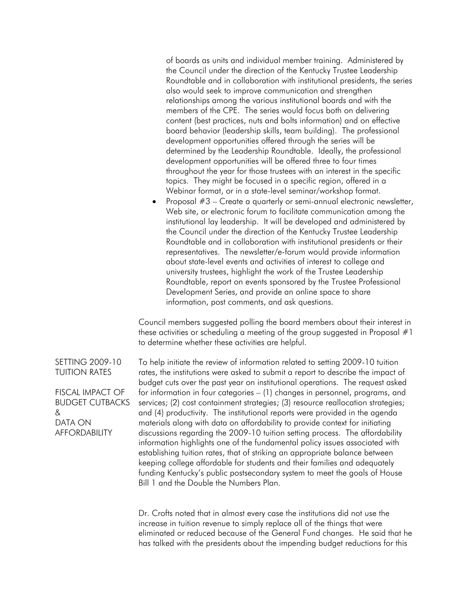of boards as units and individual member training. Administered by the Council under the direction of the Kentucky Trustee Leadership Roundtable and in collaboration with institutional presidents, the series also would seek to improve communication and strengthen relationships among the various institutional boards and with the members of the CPE. The series would focus both on delivering content (best practices, nuts and bolts information) and on effective board behavior (leadership skills, team building). The professional development opportunities offered through the series will be determined by the Leadership Roundtable. Ideally, the professional development opportunities will be offered three to four times throughout the year for those trustees with an interest in the specific topics. They might be focused in a specific region, offered in a Webinar format, or in a state-level seminar/workshop format.

• Proposal #3 – Create a quarterly or semi-annual electronic newsletter, Web site, or electronic forum to facilitate communication among the institutional lay leadership. It will be developed and administered by the Council under the direction of the Kentucky Trustee Leadership Roundtable and in collaboration with institutional presidents or their representatives. The newsletter/e-forum would provide information about state-level events and activities of interest to college and university trustees, highlight the work of the Trustee Leadership Roundtable, report on events sponsored by the Trustee Professional Development Series, and provide an online space to share information, post comments, and ask questions.

 Council members suggested polling the board members about their interest in these activities or scheduling a meeting of the group suggested in Proposal #1 to determine whether these activities are helpful.

FISCAL IMPACT OF To help initiate the review of information related to setting 2009-10 tuition rates, the institutions were asked to submit a report to describe the impact of budget cuts over the past year on institutional operations. The request asked for information in four categories – (1) changes in personnel, programs, and services; (2) cost containment strategies; (3) resource reallocation strategies; and (4) productivity. The institutional reports were provided in the agenda materials along with data on affordability to provide context for initiating discussions regarding the 2009-10 tuition setting process. The affordability information highlights one of the fundamental policy issues associated with establishing tuition rates, that of striking an appropriate balance between keeping college affordable for students and their families and adequately funding Kentucky's public postsecondary system to meet the goals of House Bill 1 and the Double the Numbers Plan.

> Dr. Crofts noted that in almost every case the institutions did not use the increase in tuition revenue to simply replace all of the things that were eliminated or reduced because of the General Fund changes. He said that he has talked with the presidents about the impending budget reductions for this

SETTING 2009-10 TUITION RATES

BUDGET CUTBACKS & DATA ON AFFORDABILITY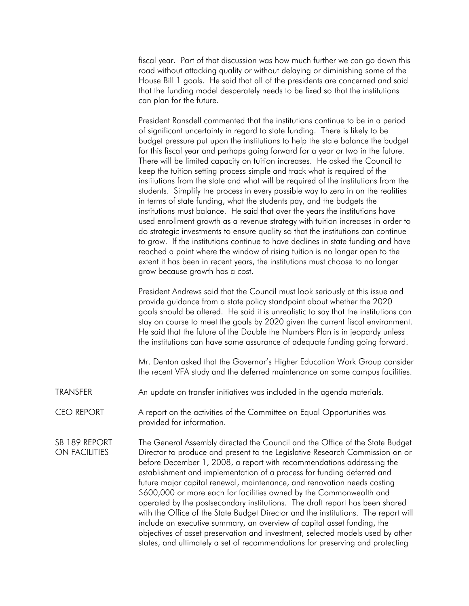fiscal year. Part of that discussion was how much further we can go down this road without attacking quality or without delaying or diminishing some of the House Bill 1 goals. He said that all of the presidents are concerned and said that the funding model desperately needs to be fixed so that the institutions can plan for the future.

 President Ransdell commented that the institutions continue to be in a period of significant uncertainty in regard to state funding. There is likely to be budget pressure put upon the institutions to help the state balance the budget for this fiscal year and perhaps going forward for a year or two in the future. There will be limited capacity on tuition increases. He asked the Council to keep the tuition setting process simple and track what is required of the institutions from the state and what will be required of the institutions from the students. Simplify the process in every possible way to zero in on the realities in terms of state funding, what the students pay, and the budgets the institutions must balance. He said that over the years the institutions have used enrollment growth as a revenue strategy with tuition increases in order to do strategic investments to ensure quality so that the institutions can continue to grow. If the institutions continue to have declines in state funding and have reached a point where the window of rising tuition is no longer open to the extent it has been in recent years, the institutions must choose to no longer grow because growth has a cost.

 President Andrews said that the Council must look seriously at this issue and provide guidance from a state policy standpoint about whether the 2020 goals should be altered. He said it is unrealistic to say that the institutions can stay on course to meet the goals by 2020 given the current fiscal environment. He said that the future of the Double the Numbers Plan is in jeopardy unless the institutions can have some assurance of adequate funding going forward.

 Mr. Denton asked that the Governor's Higher Education Work Group consider the recent VFA study and the deferred maintenance on some campus facilities.

- TRANSFER An update on transfer initiatives was included in the agenda materials.
- CEO REPORT A report on the activities of the Committee on Equal Opportunities was provided for information.

SB 189 REPORT ON FACILITIES The General Assembly directed the Council and the Office of the State Budget Director to produce and present to the Legislative Research Commission on or before December 1, 2008, a report with recommendations addressing the establishment and implementation of a process for funding deferred and future major capital renewal, maintenance, and renovation needs costing \$600,000 or more each for facilities owned by the Commonwealth and operated by the postsecondary institutions. The draft report has been shared with the Office of the State Budget Director and the institutions. The report will include an executive summary, an overview of capital asset funding, the objectives of asset preservation and investment, selected models used by other states, and ultimately a set of recommendations for preserving and protecting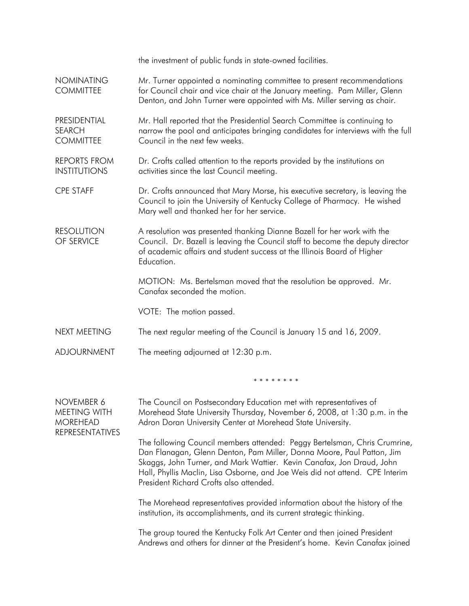|                                                                         | the investment of public funds in state-owned facilities.                                                                                                                                                                                                                                                                                              |
|-------------------------------------------------------------------------|--------------------------------------------------------------------------------------------------------------------------------------------------------------------------------------------------------------------------------------------------------------------------------------------------------------------------------------------------------|
| <b>NOMINATING</b><br><b>COMMITTEE</b>                                   | Mr. Turner appointed a nominating committee to present recommendations<br>for Council chair and vice chair at the January meeting. Pam Miller, Glenn<br>Denton, and John Turner were appointed with Ms. Miller serving as chair.                                                                                                                       |
| PRESIDENTIAL<br><b>SEARCH</b><br><b>COMMITTEE</b>                       | Mr. Hall reported that the Presidential Search Committee is continuing to<br>narrow the pool and anticipates bringing candidates for interviews with the full<br>Council in the next few weeks.                                                                                                                                                        |
| <b>REPORTS FROM</b><br><b>INSTITUTIONS</b>                              | Dr. Crofts called attention to the reports provided by the institutions on<br>activities since the last Council meeting.                                                                                                                                                                                                                               |
| <b>CPE STAFF</b>                                                        | Dr. Crofts announced that Mary Morse, his executive secretary, is leaving the<br>Council to join the University of Kentucky College of Pharmacy. He wished<br>Mary well and thanked her for her service.                                                                                                                                               |
| <b>RESOLUTION</b><br>OF SERVICE                                         | A resolution was presented thanking Dianne Bazell for her work with the<br>Council. Dr. Bazell is leaving the Council staff to become the deputy director<br>of academic affairs and student success at the Illinois Board of Higher<br>Education.                                                                                                     |
|                                                                         | MOTION: Ms. Bertelsman moved that the resolution be approved. Mr.<br>Canafax seconded the motion.                                                                                                                                                                                                                                                      |
|                                                                         | VOTE: The motion passed.                                                                                                                                                                                                                                                                                                                               |
| <b>NEXT MEETING</b>                                                     | The next regular meeting of the Council is January 15 and 16, 2009.                                                                                                                                                                                                                                                                                    |
| <b>ADJOURNMENT</b>                                                      | The meeting adjourned at 12:30 p.m.                                                                                                                                                                                                                                                                                                                    |
|                                                                         | * * * * * * * *                                                                                                                                                                                                                                                                                                                                        |
| NOVEMBER 6<br><b>MEETING WITH</b><br><b>MOREHEAD</b><br>REPRESENTATIVES | The Council on Postsecondary Education met with representatives of<br>Morehead State University Thursday, November 6, 2008, at 1:30 p.m. in the<br>Adron Doran University Center at Morehead State University.                                                                                                                                         |
|                                                                         | The following Council members attended: Peggy Bertelsman, Chris Crumrine,<br>Dan Flanagan, Glenn Denton, Pam Miller, Donna Moore, Paul Patton, Jim<br>Skaggs, John Turner, and Mark Wattier. Kevin Canafax, Jon Draud, John<br>Hall, Phyllis Maclin, Lisa Osborne, and Joe Weis did not attend. CPE Interim<br>President Richard Crofts also attended. |
|                                                                         | The Morehead representatives provided information about the history of the<br>institution, its accomplishments, and its current strategic thinking.                                                                                                                                                                                                    |
|                                                                         | The group toured the Kentucky Folk Art Center and then joined President<br>Andrews and others for dinner at the President's home. Kevin Canafax joined                                                                                                                                                                                                 |